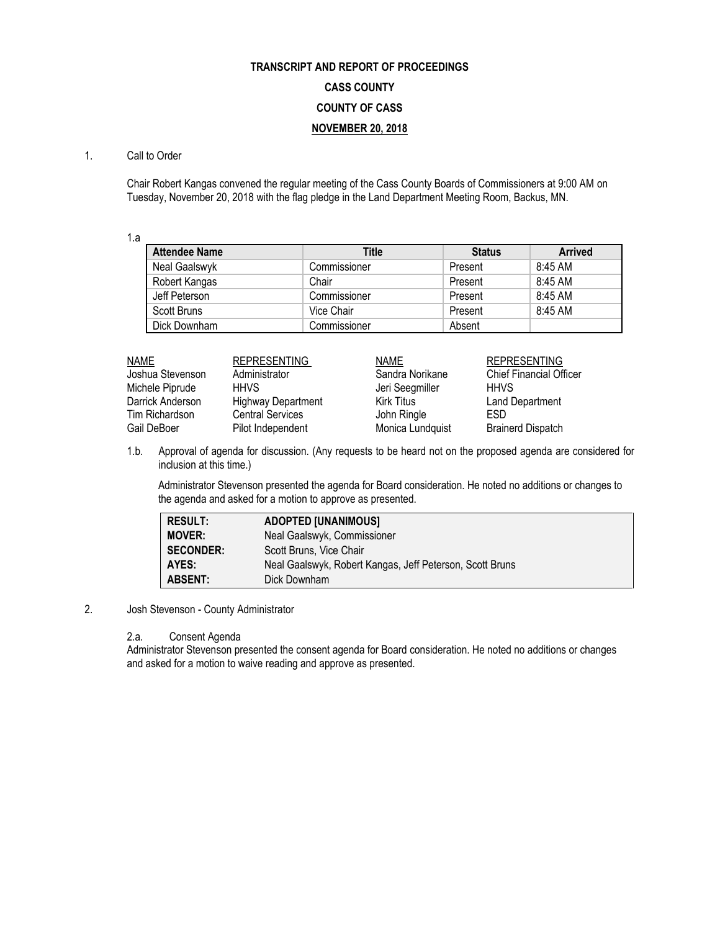# **TRANSCRIPT AND REPORT OF PROCEEDINGS CASS COUNTY COUNTY OF CASS NOVEMBER 20, 2018**

### 1. Call to Order

Chair Robert Kangas convened the regular meeting of the Cass County Boards of Commissioners at 9:00 AM on Tuesday, November 20, 2018 with the flag pledge in the Land Department Meeting Room, Backus, MN.

1.a

| <b>Attendee Name</b> | <b>Title</b> | <b>Status</b> | <b>Arrived</b> |
|----------------------|--------------|---------------|----------------|
| Neal Gaalswyk        | Commissioner | Present       | 8:45 AM        |
| Robert Kangas        | Chair        | Present       | 8:45 AM        |
| Jeff Peterson        | Commissioner | Present       | 8:45 AM        |
| Scott Bruns          | Vice Chair   | Present       | 8:45 AM        |
| Dick Downham         | Commissioner | Absent        |                |

| NAME             | <b>REPRESENTING</b>       | <b>NAME</b>       | <b>REPRESENTING</b>            |
|------------------|---------------------------|-------------------|--------------------------------|
| Joshua Stevenson | Administrator             | Sandra Norikane   | <b>Chief Financial Officer</b> |
| Michele Piprude  | <b>HHVS</b>               | Jeri Seegmiller   | <b>HHVS</b>                    |
| Darrick Anderson | <b>Highway Department</b> | <b>Kirk Titus</b> | <b>Land Department</b>         |
| Tim Richardson   | <b>Central Services</b>   | John Ringle       | ESD                            |
| Gail DeBoer      | Pilot Independent         | Monica Lundquist  | <b>Brainerd Dispatch</b>       |

1.b. Approval of agenda for discussion. (Any requests to be heard not on the proposed agenda are considered for inclusion at this time.)

Administrator Stevenson presented the agenda for Board consideration. He noted no additions or changes to the agenda and asked for a motion to approve as presented.

| <b>RESULT:</b>   | <b>ADOPTED [UNANIMOUS]</b>                               |
|------------------|----------------------------------------------------------|
| <b>MOVER:</b>    | Neal Gaalswyk, Commissioner                              |
| <b>SECONDER:</b> | Scott Bruns, Vice Chair                                  |
| AYES:            | Neal Gaalswyk, Robert Kangas, Jeff Peterson, Scott Bruns |
| <b>ABSENT:</b>   | Dick Downham                                             |

#### 2. Josh Stevenson - County Administrator

2.a. Consent Agenda

Administrator Stevenson presented the consent agenda for Board consideration. He noted no additions or changes and asked for a motion to waive reading and approve as presented.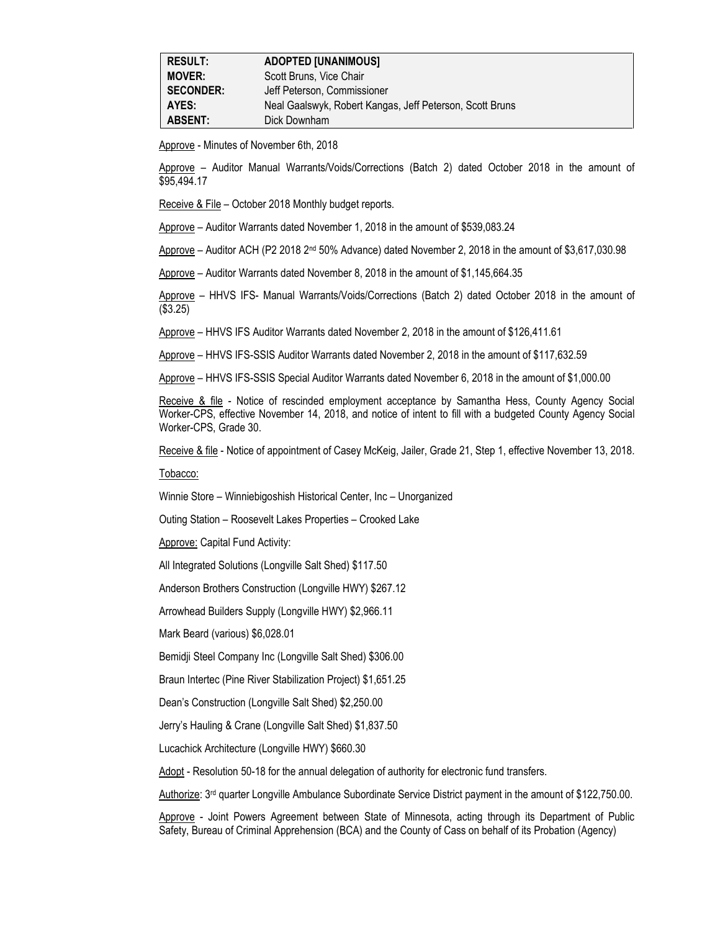| <b>RESULT:</b>   | <b>ADOPTED [UNANIMOUS]</b>                               |
|------------------|----------------------------------------------------------|
| <b>MOVER:</b>    | Scott Bruns, Vice Chair                                  |
| <b>SECONDER:</b> | Jeff Peterson, Commissioner                              |
| AYES:            | Neal Gaalswyk, Robert Kangas, Jeff Peterson, Scott Bruns |
| <b>ABSENT:</b>   | Dick Downham                                             |

Approve - Minutes of November 6th, 2018

Approve – Auditor Manual Warrants/Voids/Corrections (Batch 2) dated October 2018 in the amount of \$95,494.17

Receive & File – October 2018 Monthly budget reports.

Approve – Auditor Warrants dated November 1, 2018 in the amount of \$539,083.24

Approve – Auditor ACH (P2 2018 2nd 50% Advance) dated November 2, 2018 in the amount of \$3,617,030.98

Approve – Auditor Warrants dated November 8, 2018 in the amount of \$1,145,664.35

Approve – HHVS IFS- Manual Warrants/Voids/Corrections (Batch 2) dated October 2018 in the amount of (\$3.25)

Approve – HHVS IFS Auditor Warrants dated November 2, 2018 in the amount of \$126,411.61

Approve – HHVS IFS-SSIS Auditor Warrants dated November 2, 2018 in the amount of \$117,632.59

Approve – HHVS IFS-SSIS Special Auditor Warrants dated November 6, 2018 in the amount of \$1,000.00

Receive & file - Notice of rescinded employment acceptance by Samantha Hess, County Agency Social Worker-CPS, effective November 14, 2018, and notice of intent to fill with a budgeted County Agency Social Worker-CPS, Grade 30.

Receive & file - Notice of appointment of Casey McKeig, Jailer, Grade 21, Step 1, effective November 13, 2018.

Tobacco:

Winnie Store – Winniebigoshish Historical Center, Inc – Unorganized

Outing Station – Roosevelt Lakes Properties – Crooked Lake

Approve: Capital Fund Activity:

All Integrated Solutions (Longville Salt Shed) \$117.50

Anderson Brothers Construction (Longville HWY) \$267.12

Arrowhead Builders Supply (Longville HWY) \$2,966.11

Mark Beard (various) \$6,028.01

Bemidji Steel Company Inc (Longville Salt Shed) \$306.00

Braun Intertec (Pine River Stabilization Project) \$1,651.25

Dean's Construction (Longville Salt Shed) \$2,250.00

Jerry's Hauling & Crane (Longville Salt Shed) \$1,837.50

Lucachick Architecture (Longville HWY) \$660.30

Adopt - Resolution 50-18 for the annual delegation of authority for electronic fund transfers.

Authorize: 3rd quarter Longville Ambulance Subordinate Service District payment in the amount of \$122,750.00.

Approve - Joint Powers Agreement between State of Minnesota, acting through its Department of Public Safety, Bureau of Criminal Apprehension (BCA) and the County of Cass on behalf of its Probation (Agency)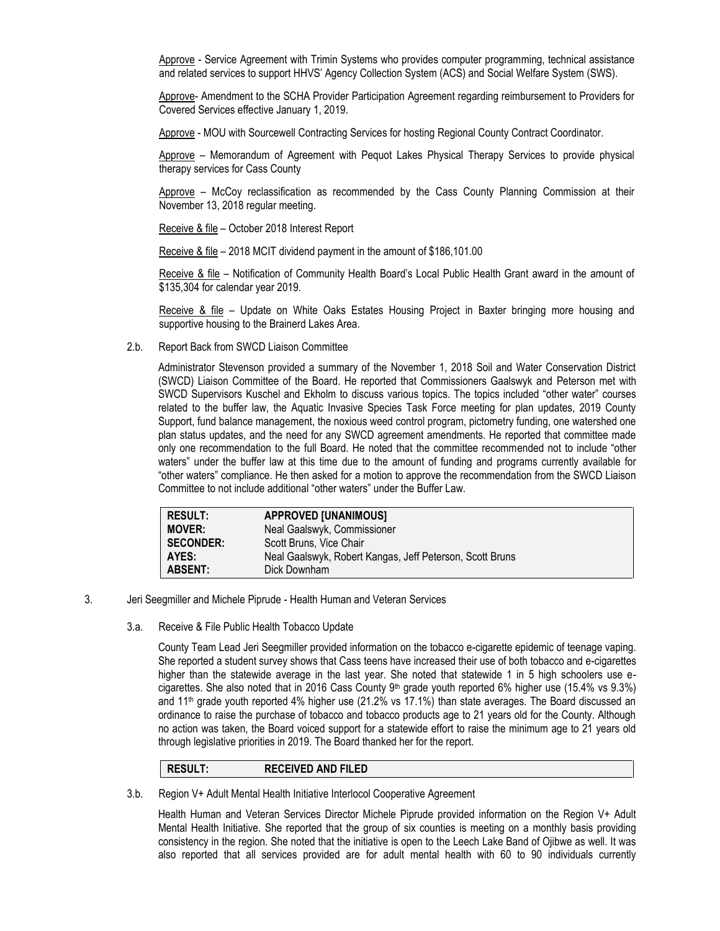Approve - Service Agreement with Trimin Systems who provides computer programming, technical assistance and related services to support HHVS' Agency Collection System (ACS) and Social Welfare System (SWS).

Approve- Amendment to the SCHA Provider Participation Agreement regarding reimbursement to Providers for Covered Services effective January 1, 2019.

Approve - MOU with Sourcewell Contracting Services for hosting Regional County Contract Coordinator.

Approve – Memorandum of Agreement with Pequot Lakes Physical Therapy Services to provide physical therapy services for Cass County

Approve – McCoy reclassification as recommended by the Cass County Planning Commission at their November 13, 2018 regular meeting.

Receive & file – October 2018 Interest Report

Receive & file – 2018 MCIT dividend payment in the amount of \$186,101.00

Receive & file – Notification of Community Health Board's Local Public Health Grant award in the amount of \$135,304 for calendar year 2019.

Receive & file – Update on White Oaks Estates Housing Project in Baxter bringing more housing and supportive housing to the Brainerd Lakes Area.

2.b. Report Back from SWCD Liaison Committee

Administrator Stevenson provided a summary of the November 1, 2018 Soil and Water Conservation District (SWCD) Liaison Committee of the Board. He reported that Commissioners Gaalswyk and Peterson met with SWCD Supervisors Kuschel and Ekholm to discuss various topics. The topics included "other water" courses related to the buffer law, the Aquatic Invasive Species Task Force meeting for plan updates, 2019 County Support, fund balance management, the noxious weed control program, pictometry funding, one watershed one plan status updates, and the need for any SWCD agreement amendments. He reported that committee made only one recommendation to the full Board. He noted that the committee recommended not to include "other waters" under the buffer law at this time due to the amount of funding and programs currently available for "other waters" compliance. He then asked for a motion to approve the recommendation from the SWCD Liaison Committee to not include additional "other waters" under the Buffer Law.

| <b>RESULT:</b>   | <b>APPROVED [UNANIMOUS]</b>                              |
|------------------|----------------------------------------------------------|
| <b>MOVER:</b>    | Neal Gaalswyk, Commissioner                              |
| <b>SECONDER:</b> | Scott Bruns, Vice Chair                                  |
| AYES:            | Neal Gaalswyk, Robert Kangas, Jeff Peterson, Scott Bruns |
| <b>ABSENT:</b>   | Dick Downham                                             |

- 3. Jeri Seegmiller and Michele Piprude Health Human and Veteran Services
	- 3.a. Receive & File Public Health Tobacco Update

County Team Lead Jeri Seegmiller provided information on the tobacco e-cigarette epidemic of teenage vaping. She reported a student survey shows that Cass teens have increased their use of both tobacco and e-cigarettes higher than the statewide average in the last year. She noted that statewide 1 in 5 high schoolers use ecigarettes. She also noted that in 2016 Cass County  $9<sup>th</sup>$  grade youth reported 6% higher use (15.4% vs  $9.3%$ ) and 11th grade youth reported 4% higher use (21.2% vs 17.1%) than state averages. The Board discussed an ordinance to raise the purchase of tobacco and tobacco products age to 21 years old for the County. Although no action was taken, the Board voiced support for a statewide effort to raise the minimum age to 21 years old through legislative priorities in 2019. The Board thanked her for the report.

## **RESULT: RECEIVED AND FILED**

3.b. Region V+ Adult Mental Health Initiative Interlocol Cooperative Agreement

Health Human and Veteran Services Director Michele Piprude provided information on the Region V+ Adult Mental Health Initiative. She reported that the group of six counties is meeting on a monthly basis providing consistency in the region. She noted that the initiative is open to the Leech Lake Band of Ojibwe as well. It was also reported that all services provided are for adult mental health with 60 to 90 individuals currently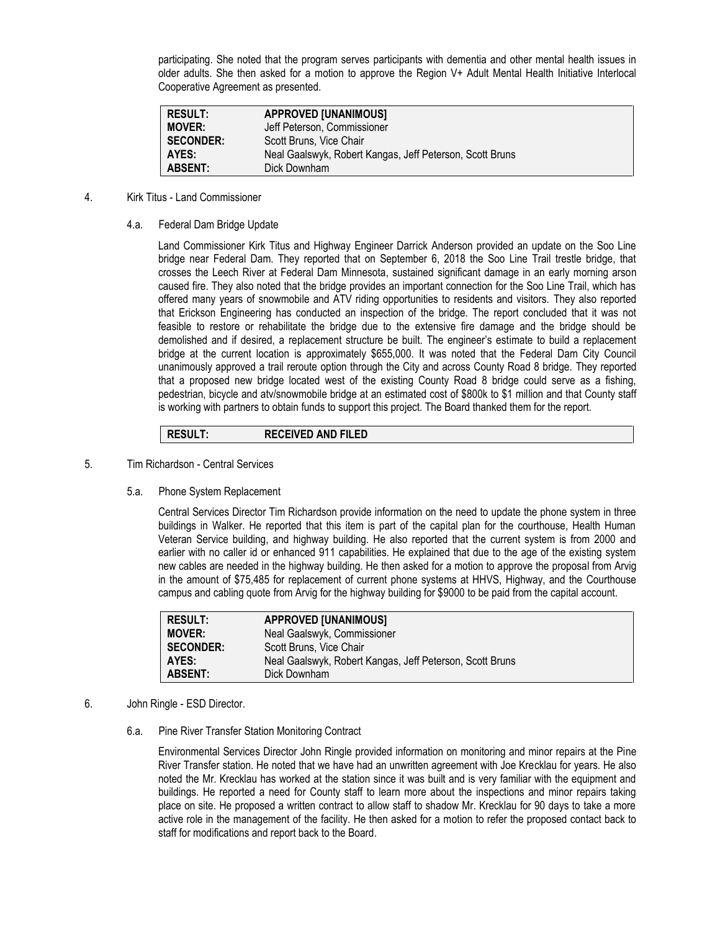participating. She noted that the program serves participants with dementia and other mental health issues in older adults. She then asked for a motion to approve the Region V+ Adult Mental Health Initiative Interlocal Cooperative Agreement as presented.

| <b>RESULT:</b>   | <b>APPROVED [UNANIMOUS]</b>                              |
|------------------|----------------------------------------------------------|
| <b>MOVER:</b>    | Jeff Peterson, Commissioner                              |
| <b>SECONDER:</b> | Scott Bruns, Vice Chair                                  |
| AYES:            | Neal Gaalswyk, Robert Kangas, Jeff Peterson, Scott Bruns |
| <b>ABSENT:</b>   | Dick Downham                                             |

- 4. Kirk Titus Land Commissioner
	- 4.a. Federal Dam Bridge Update

Land Commissioner Kirk Titus and Highway Engineer Darrick Anderson provided an update on the Soo Line bridge near Federal Dam. They reported that on September 6, 2018 the Soo Line Trail trestle bridge, that crosses the Leech River at Federal Dam Minnesota, sustained significant damage in an early morning arson caused fire. They also noted that the bridge provides an important connection for the Soo Line Trail, which has offered many years of snowmobile and ATV riding opportunities to residents and visitors. They also reported that Erickson Engineering has conducted an inspection of the bridge. The report concluded that it was not feasible to restore or rehabilitate the bridge due to the extensive fire damage and the bridge should be demolished and if desired, a replacement structure be built. The engineer's estimate to build a replacement bridge at the current location is approximately \$655,000. It was noted that the Federal Dam City Council unanimously approved a trail reroute option through the City and across County Road 8 bridge. They reported that a proposed new bridge located west of the existing County Road 8 bridge could serve as a fishing, pedestrian, bicycle and atv/snowmobile bridge at an estimated cost of \$800k to \$1 million and that County staff is working with partners to obtain funds to support this project. The Board thanked them for the report.

# **RESULT: RECEIVED AND FILED**

- 5. Tim Richardson Central Services
	- 5.a. Phone System Replacement

Central Services Director Tim Richardson provide information on the need to update the phone system in three buildings in Walker. He reported that this item is part of the capital plan for the courthouse, Health Human Veteran Service building, and highway building. He also reported that the current system is from 2000 and earlier with no caller id or enhanced 911 capabilities. He explained that due to the age of the existing system new cables are needed in the highway building. He then asked for a motion to approve the proposal from Arvig in the amount of \$75,485 for replacement of current phone systems at HHVS, Highway, and the Courthouse campus and cabling quote from Arvig for the highway building for \$9000 to be paid from the capital account.

| <b>RESULT:</b>   | <b>APPROVED [UNANIMOUS]</b>                              |
|------------------|----------------------------------------------------------|
| <b>MOVER:</b>    | Neal Gaalswyk, Commissioner                              |
| <b>SECONDER:</b> | Scott Bruns, Vice Chair                                  |
| AYES:            | Neal Gaalswyk, Robert Kangas, Jeff Peterson, Scott Bruns |
| <b>ABSENT:</b>   | Dick Downham                                             |

- 6. John Ringle ESD Director.
	- 6.a. Pine River Transfer Station Monitoring Contract

Environmental Services Director John Ringle provided information on monitoring and minor repairs at the Pine River Transfer station. He noted that we have had an unwritten agreement with Joe Krecklau for years. He also noted the Mr. Krecklau has worked at the station since it was built and is very familiar with the equipment and buildings. He reported a need for County staff to learn more about the inspections and minor repairs taking place on site. He proposed a written contract to allow staff to shadow Mr. Krecklau for 90 days to take a more active role in the management of the facility. He then asked for a motion to refer the proposed contact back to staff for modifications and report back to the Board.